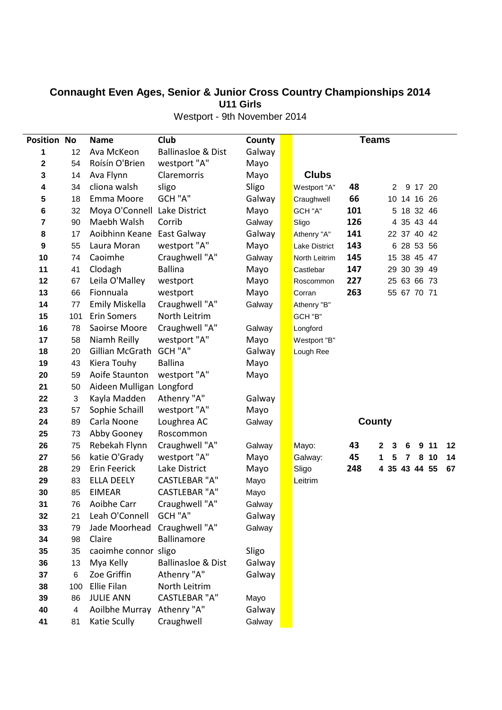# **Connaught Even Ages, Senior & Junior Cross Country Championships 2014 U11 Girls**

| <b>Position No</b> |     | <b>Name</b>                  | Club                          | County | <b>Teams</b>  |               |                   |   |             |    |    |
|--------------------|-----|------------------------------|-------------------------------|--------|---------------|---------------|-------------------|---|-------------|----|----|
| 1                  | 12  | Ava McKeon                   | <b>Ballinasloe &amp; Dist</b> | Galway |               |               |                   |   |             |    |    |
| $\mathbf 2$        | 54  | Roísín O'Brien               | westport "A"                  | Mayo   |               |               |                   |   |             |    |    |
| 3                  | 14  | Ava Flynn                    | Claremorris                   | Mayo   | <b>Clubs</b>  |               |                   |   |             |    |    |
| 4                  | 34  | cliona walsh                 | sligo                         | Sligo  | Westport "A"  | 48            | $\overline{2}$    |   | 9 17 20     |    |    |
| 5                  | 18  | Emma Moore                   | GCH "A"                       | Galway | Craughwell    | 66            |                   |   | 10 14 16 26 |    |    |
| 6                  | 32  | Moya O'Connell Lake District |                               | Mayo   | GCH "A"       | 101           |                   |   | 5 18 32 46  |    |    |
| 7                  | 90  | Maebh Walsh                  | Corrib                        | Galway | Sligo         | 126           |                   |   | 4 35 43 44  |    |    |
| 8                  | 17  | Aoibhinn Keane               | East Galway                   | Galway | Athenry "A"   | 141           |                   |   | 22 37 40 42 |    |    |
| $\boldsymbol{9}$   | 55  | Laura Moran                  | westport "A"                  | Mayo   | Lake District | 143           |                   |   | 6 28 53 56  |    |    |
| 10                 | 74  | Caoimhe                      | Craughwell "A"                | Galway | North Leitrim | 145           |                   |   | 15 38 45 47 |    |    |
| 11                 | 41  | Clodagh                      | <b>Ballina</b>                | Mayo   | Castlebar     | 147           |                   |   | 29 30 39 49 |    |    |
| 12                 | 67  | Leila O'Malley               | westport                      | Mayo   | Roscommon     | 227           |                   |   | 25 63 66 73 |    |    |
| 13                 | 66  | Fionnuala                    | westport                      | Mayo   | Corran        | 263           |                   |   | 55 67 70 71 |    |    |
| 14                 | 77  | <b>Emily Miskella</b>        | Craughwell "A"                | Galway | Athenry "B"   |               |                   |   |             |    |    |
| 15                 | 101 | <b>Erin Somers</b>           | North Leitrim                 |        | GCH "B"       |               |                   |   |             |    |    |
| 16                 | 78  | Saoirse Moore                | Craughwell "A"                | Galway | Longford      |               |                   |   |             |    |    |
| 17                 | 58  | Niamh Reilly                 | westport "A"                  | Mayo   | Westport "B"  |               |                   |   |             |    |    |
| 18                 | 20  | Gillian McGrath              | GCH "A"                       | Galway | Lough Ree     |               |                   |   |             |    |    |
| 19                 | 43  | Kiera Touhy                  | <b>Ballina</b>                | Mayo   |               |               |                   |   |             |    |    |
| 20                 | 59  | Aoife Staunton               | westport "A"                  | Mayo   |               |               |                   |   |             |    |    |
| 21                 | 50  | Aideen Mulligan Longford     |                               |        |               |               |                   |   |             |    |    |
| 22                 | 3   | Kayla Madden                 | Athenry "A"                   | Galway |               |               |                   |   |             |    |    |
| 23                 | 57  | Sophie Schaill               | westport "A"                  | Mayo   |               |               |                   |   |             |    |    |
| 24                 | 89  | Carla Noone                  | Loughrea AC                   | Galway |               | <b>County</b> |                   |   |             |    |    |
| 25                 | 73  | Abby Gooney                  | Roscommon                     |        |               |               |                   |   |             |    |    |
| 26                 | 75  | Rebekah Flynn                | Craughwell "A"                | Galway | Mayo:         | 43            | 3<br>$\mathbf{2}$ | 6 | 9           | 11 | 12 |
| 27                 | 56  | katie O'Grady                | westport "A"                  | Mayo   | Galway:       | 45            | 5<br>1            | 7 | 8           | 10 | 14 |
| 28                 | 29  | <b>Erin Feerick</b>          | Lake District                 | Mayo   | Sligo         | 248           | 4 35 43 44 55     |   |             |    | 67 |
| 29                 | 83  | <b>ELLA DEELY</b>            | <b>CASTLEBAR "A"</b>          | Mayo   | Leitrim       |               |                   |   |             |    |    |
| 30                 | 85  | <b>EIMEAR</b>                | <b>CASTLEBAR "A"</b>          | Mayo   |               |               |                   |   |             |    |    |
| 31                 | 76  | Aoibhe Carr                  | Craughwell "A"                | Galway |               |               |                   |   |             |    |    |
| 32                 | 21  | Leah O'Connell               | GCH "A"                       | Galway |               |               |                   |   |             |    |    |
| 33                 | 79  | Jade Moorhead                | Craughwell "A"                | Galway |               |               |                   |   |             |    |    |
| 34                 | 98  | Claire                       | Ballinamore                   |        |               |               |                   |   |             |    |    |
| 35                 | 35  | caoimhe connor sligo         |                               | Sligo  |               |               |                   |   |             |    |    |
| 36                 | 13  | Mya Kelly                    | <b>Ballinasloe &amp; Dist</b> | Galway |               |               |                   |   |             |    |    |
| 37                 | 6   | Zoe Griffin                  | Athenry "A"                   | Galway |               |               |                   |   |             |    |    |
| 38                 | 100 | Ellie Filan                  | North Leitrim                 |        |               |               |                   |   |             |    |    |
| 39                 | 86  | <b>JULIE ANN</b>             | <b>CASTLEBAR "A"</b>          | Mayo   |               |               |                   |   |             |    |    |
| 40                 | 4   | Aoilbhe Murray               | Athenry "A"                   | Galway |               |               |                   |   |             |    |    |
| 41                 | 81  | Katie Scully                 | Craughwell                    | Galway |               |               |                   |   |             |    |    |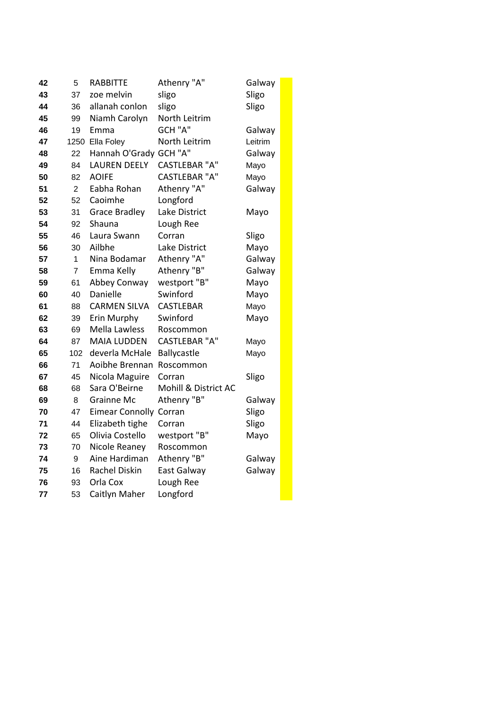| 42 | 5              | <b>RABBITTE</b>               | Athenry "A"          | Galway  |
|----|----------------|-------------------------------|----------------------|---------|
| 43 | 37             | zoe melvin                    | sligo                | Sligo   |
| 44 | 36             | allanah conlon                | sligo                | Sligo   |
| 45 | 99             | Niamh Carolyn                 | North Leitrim        |         |
| 46 | 19             | Emma                          | GCH "A"              | Galway  |
| 47 | 1250           | Ella Foley                    | North Leitrim        | Leitrim |
| 48 | 22             | Hannah O'Grady GCH "A"        |                      | Galway  |
| 49 | 84             | <b>LAUREN DEELY</b>           | <b>CASTLEBAR "A"</b> | Mayo    |
| 50 | 82             | <b>AOIFE</b>                  | <b>CASTLEBAR "A"</b> | Mayo    |
| 51 | $\overline{2}$ | Eabha Rohan                   | Athenry "A"          | Galway  |
| 52 | 52             | Caoimhe                       | Longford             |         |
| 53 | 31             | <b>Grace Bradley</b>          | Lake District        | Mayo    |
| 54 | 92             | Shauna                        | Lough Ree            |         |
| 55 | 46             | Laura Swann                   | Corran               | Sligo   |
| 56 | 30             | Ailbhe                        | Lake District        | Mayo    |
| 57 | 1              | Nina Bodamar                  | Athenry "A"          | Galway  |
| 58 | $\overline{7}$ | Emma Kelly                    | Athenry "B"          | Galway  |
| 59 | 61             | Abbey Conway                  | westport "B"         | Mayo    |
| 60 | 40             | Danielle                      | Swinford             | Mayo    |
| 61 | 88             | <b>CARMEN SILVA</b>           | <b>CASTLEBAR</b>     | Mayo    |
| 62 | 39             | Erin Murphy                   | Swinford             | Mayo    |
| 63 | 69             | Mella Lawless                 | Roscommon            |         |
| 64 | 87             | <b>MAIA LUDDEN</b>            | <b>CASTLEBAR "A"</b> | Mayo    |
| 65 | 102            | deverla McHale                | Ballycastle          | Mayo    |
| 66 | 71             | Aoibhe Brennan                | Roscommon            |         |
| 67 | 45             | Nicola Maguire                | Corran               | Sligo   |
| 68 | 68             | Sara O'Beirne                 | Mohill & District AC |         |
| 69 | 8              | Grainne Mc                    | Athenry "B"          | Galway  |
| 70 | 47             | <b>Eimear Connolly Corran</b> |                      | Sligo   |
| 71 | 44             | Elizabeth tighe               | Corran               | Sligo   |
| 72 | 65             | Olivia Costello               | westport "B"         | Mayo    |
| 73 | 70             | Nicole Reaney                 | Roscommon            |         |
| 74 | 9              | Aine Hardiman                 | Athenry "B"          | Galway  |
| 75 | 16             | Rachel Diskin                 | East Galway          | Galway  |
| 76 | 93             | Orla Cox                      | Lough Ree            |         |
| 77 | 53             | Caitlyn Maher                 | Longford             |         |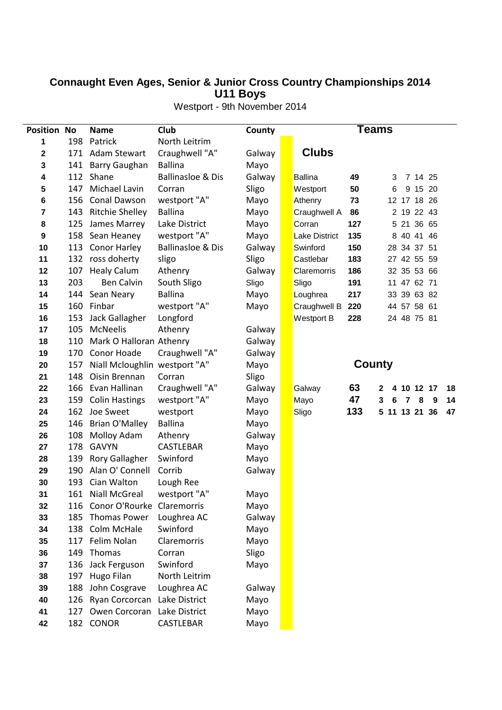# **Connaught Even Ages, Senior & Junior Cross Country Championships 2014 U11 Boys**

| <b>Position No</b>      |     | <b>Name</b>                    | Club                         | County | Teams |                      |               |                            |         |   |    |
|-------------------------|-----|--------------------------------|------------------------------|--------|-------|----------------------|---------------|----------------------------|---------|---|----|
| 1                       | 198 | Patrick                        | North Leitrim                |        |       |                      |               |                            |         |   |    |
| $\boldsymbol{2}$        | 171 | <b>Adam Stewart</b>            | Craughwell "A"               | Galway |       | <b>Clubs</b>         |               |                            |         |   |    |
| 3                       | 141 | <b>Barry Gaughan</b>           | <b>Ballina</b>               | Mayo   |       |                      |               |                            |         |   |    |
| 4                       |     | 112 Shane                      | <b>Ballinasloe &amp; Dis</b> | Galway |       | <b>Ballina</b>       | 49            | 3                          | 7 14 25 |   |    |
| 5                       | 147 | <b>Michael Lavin</b>           | Corran                       | Sligo  |       | Westport             | 50            | 6                          | 9 15 20 |   |    |
| 6                       | 156 | <b>Conal Dawson</b>            | westport "A"                 | Mayo   |       | Athenry              | 73            | 12 17 18 26                |         |   |    |
| $\overline{\mathbf{r}}$ | 143 | <b>Ritchie Shelley</b>         | <b>Ballina</b>               | Mayo   |       | Craughwell A         | 86            | 2 19 22 43                 |         |   |    |
| 8                       | 125 | James Marrey                   | Lake District                | Mayo   |       | Corran               | 127           | 5 21 36 65                 |         |   |    |
| 9                       | 158 | Sean Heaney                    | westport "A"                 | Mayo   |       | <b>Lake District</b> | 135           | 8 40 41 46                 |         |   |    |
| 10                      |     | 113 Conor Harley               | <b>Ballinasloe &amp; Dis</b> | Galway |       | Swinford             | 150           | 28 34 37 51                |         |   |    |
| 11                      | 132 | ross doherty                   | sligo                        | Sligo  |       | Castlebar            | 183           | 27 42 55 59                |         |   |    |
| 12                      | 107 | <b>Healy Calum</b>             | Athenry                      | Galway |       | Claremorris          | 186           | 32 35 53 66                |         |   |    |
| 13                      | 203 | <b>Ben Calvin</b>              | South Sligo                  | Sligo  |       | Sligo                | 191           | 11 47 62 71                |         |   |    |
| 14                      | 144 | Sean Neary                     | <b>Ballina</b>               | Mayo   |       | Loughrea             | 217           | 33 39 63 82                |         |   |    |
| 15                      | 160 | Finbar                         | westport "A"                 | Mayo   |       | Craughwell B         | 220           | 44 57 58 61                |         |   |    |
| 16                      | 153 | Jack Gallagher                 | Longford                     |        |       | Westport B           | 228           | 24 48 75 81                |         |   |    |
| 17                      | 105 | McNeelis                       | Athenry                      | Galway |       |                      |               |                            |         |   |    |
| 18                      | 110 | Mark O Halloran Athenry        |                              | Galway |       |                      |               |                            |         |   |    |
| 19                      | 170 | Conor Hoade                    | Craughwell "A"               | Galway |       |                      |               |                            |         |   |    |
| 20                      | 157 | Niall Mcloughlin westport "A"  |                              | Mayo   |       |                      | <b>County</b> |                            |         |   |    |
| 21                      | 148 | Oisin Brennan                  | Corran                       | Sligo  |       |                      |               |                            |         |   |    |
| 22                      | 166 | Evan Hallinan                  | Craughwell "A"               | Galway |       | Galway               | 63            | 4 10 12 17<br>$\mathbf{2}$ |         |   | 18 |
| 23                      | 159 | <b>Colin Hastings</b>          | westport "A"                 | Mayo   |       | Mayo                 | 47            | 6<br>3<br>$\overline{7}$   | 8       | 9 | 14 |
| 24                      | 162 | Joe Sweet                      | westport                     | Mayo   |       | Sligo                | 133           | 5 11 13 21 36              |         |   | 47 |
| 25                      | 146 | <b>Brian O'Malley</b>          | <b>Ballina</b>               | Mayo   |       |                      |               |                            |         |   |    |
| 26                      | 108 | Molloy Adam                    | Athenry                      | Galway |       |                      |               |                            |         |   |    |
| 27                      | 178 | <b>GAVYN</b>                   | <b>CASTLEBAR</b>             | Mayo   |       |                      |               |                            |         |   |    |
| 28                      | 139 | <b>Rory Gallagher</b>          | Swinford                     | Mayo   |       |                      |               |                            |         |   |    |
| 29                      | 190 | Alan O' Connell                | Corrib                       | Galway |       |                      |               |                            |         |   |    |
| 30                      | 193 | Cian Walton                    | Lough Ree                    |        |       |                      |               |                            |         |   |    |
| 31                      | 161 | <b>Niall McGreal</b>           | westport "A"                 | Mayo   |       |                      |               |                            |         |   |    |
| 32                      |     | 116 Conor O'Rourke Claremorris |                              | Mayo   |       |                      |               |                            |         |   |    |
| 33                      | 185 | <b>Thomas Power</b>            | Loughrea AC                  | Galway |       |                      |               |                            |         |   |    |
| 34                      | 138 | <b>Colm McHale</b>             | Swinford                     | Mayo   |       |                      |               |                            |         |   |    |
| 35                      | 117 | Felim Nolan                    | Claremorris                  | Mayo   |       |                      |               |                            |         |   |    |
| 36                      | 149 | Thomas                         | Corran                       | Sligo  |       |                      |               |                            |         |   |    |
| 37                      | 136 | Jack Ferguson                  | Swinford                     | Mayo   |       |                      |               |                            |         |   |    |
| 38                      | 197 | Hugo Filan                     | North Leitrim                |        |       |                      |               |                            |         |   |    |
| 39                      | 188 | John Cosgrave                  | Loughrea AC                  | Galway |       |                      |               |                            |         |   |    |
| 40                      | 126 | Ryan Corcorcan                 | Lake District                | Mayo   |       |                      |               |                            |         |   |    |
| 41                      | 127 | Owen Corcoran                  | Lake District                | Mayo   |       |                      |               |                            |         |   |    |
| 42                      | 182 | CONOR                          | CASTLEBAR                    | Mayo   |       |                      |               |                            |         |   |    |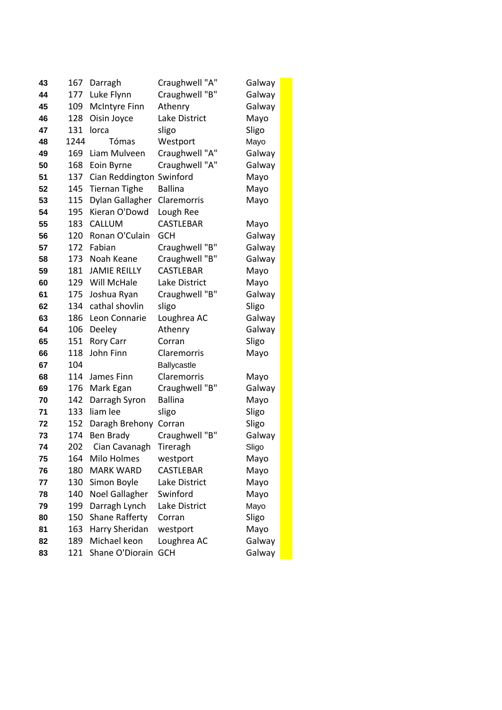| 43 | 167  | Darragh                  | Craughwell "A"   | Galway |
|----|------|--------------------------|------------------|--------|
| 44 | 177  | Luke Flynn               | Craughwell "B"   | Galway |
| 45 | 109  | <b>McIntyre Finn</b>     | Athenry          | Galway |
| 46 | 128  | Oisin Joyce              | Lake District    | Mayo   |
| 47 | 131  | lorca                    | sligo            | Sligo  |
| 48 | 1244 | Tómas                    | Westport         | Mayo   |
| 49 | 169  | Liam Mulveen             | Craughwell "A"   | Galway |
| 50 | 168  | Eoin Byrne               | Craughwell "A"   | Galway |
| 51 | 137  | Cian Reddington Swinford |                  | Mayo   |
| 52 | 145  | <b>Tiernan Tighe</b>     | <b>Ballina</b>   | Mayo   |
| 53 | 115  | Dylan Gallagher          | Claremorris      | Mayo   |
| 54 | 195  | Kieran O'Dowd            | Lough Ree        |        |
| 55 | 183  | CALLUM                   | <b>CASTLEBAR</b> | Mayo   |
| 56 | 120  | Ronan O'Culain           | <b>GCH</b>       | Galway |
| 57 | 172  | Fabian                   | Craughwell "B"   | Galway |
| 58 | 173  | Noah Keane               | Craughwell "B"   | Galway |
| 59 | 181  | <b>JAMIE REILLY</b>      | <b>CASTLEBAR</b> | Mayo   |
| 60 | 129  | Will McHale              | Lake District    | Mayo   |
| 61 | 175  | Joshua Ryan              | Craughwell "B"   | Galway |
| 62 | 134  | cathal shovlin           | sligo            | Sligo  |
| 63 | 186  | Leon Connarie            | Loughrea AC      | Galway |
| 64 | 106  | Deeley                   | Athenry          | Galway |
| 65 | 151  | Rory Carr                | Corran           | Sligo  |
| 66 | 118  | John Finn                | Claremorris      | Mayo   |
| 67 | 104  |                          | Ballycastle      |        |
| 68 | 114  | James Finn               | Claremorris      | Mayo   |
| 69 | 176  | Mark Egan                | Craughwell "B"   | Galway |
| 70 | 142  | Darragh Syron            | <b>Ballina</b>   | Mayo   |
| 71 | 133  | liam lee                 | sligo            | Sligo  |
| 72 | 152  | Daragh Brehony           | Corran           | Sligo  |
| 73 | 174  | Ben Brady                | Craughwell "B"   | Galway |
| 74 | 202  | Cian Cavanagh            | Tireragh         | Sligo  |
| 75 | 164  | Milo Holmes              | westport         | Mayo   |
| 76 | 180  | <b>MARK WARD</b>         | <b>CASTLEBAR</b> | Mayo   |
| 77 | 130  | Simon Boyle              | Lake District    | Mayo   |
| 78 | 140  | <b>Noel Gallagher</b>    | Swinford         | Mayo   |
| 79 | 199  | Darragh Lynch            | Lake District    | Mayo   |
| 80 | 150  | <b>Shane Rafferty</b>    | Corran           | Sligo  |
| 81 | 163  | Harry Sheridan           | westport         | Mayo   |
| 82 | 189  | Michael keon             | Loughrea AC      | Galway |
| 83 | 121  | Shane O'Diorain          | <b>GCH</b>       | Galway |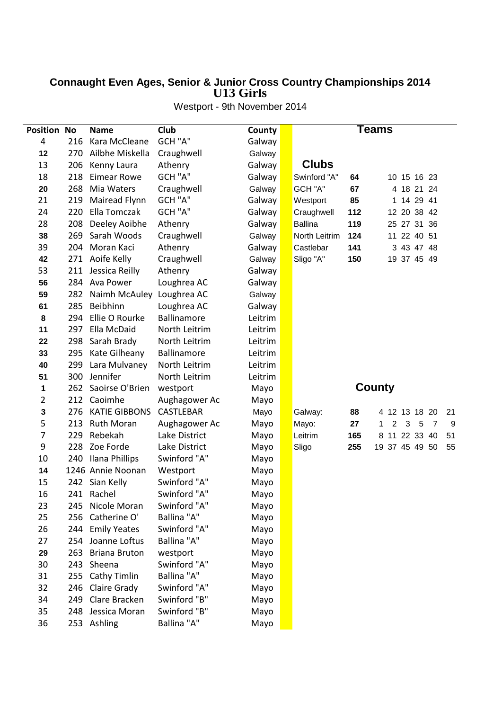# **Connaught Even Ages, Senior & Junior Cross Country Championships 2014 U13 Girls**

| <b>Position No</b> |     | <b>Name</b>          | Club             | County  | Teams |                |     |                |             |          |                |    |
|--------------------|-----|----------------------|------------------|---------|-------|----------------|-----|----------------|-------------|----------|----------------|----|
| 4                  | 216 | Kara McCleane        | GCH "A"          | Galway  |       |                |     |                |             |          |                |    |
| 12                 | 270 | Ailbhe Miskella      | Craughwell       | Galway  |       |                |     |                |             |          |                |    |
| 13                 | 206 | Kenny Laura          | Athenry          | Galway  |       | <b>Clubs</b>   |     |                |             |          |                |    |
| 18                 | 218 | <b>Eimear Rowe</b>   | GCH "A"          | Galway  |       | Swinford "A"   | 64  |                | 10 15 16 23 |          |                |    |
| 20                 | 268 | Mia Waters           | Craughwell       | Galway  |       | GCH "A"        | 67  |                | 4 18 21 24  |          |                |    |
| 21                 | 219 | Mairead Flynn        | GCH "A"          | Galway  |       | Westport       | 85  |                | 1 14 29 41  |          |                |    |
| 24                 | 220 | Ella Tomczak         | GCH "A"          | Galway  |       | Craughwell     | 112 |                | 12 20 38 42 |          |                |    |
| 28                 | 208 | Deeley Aoibhe        | Athenry          | Galway  |       | <b>Ballina</b> | 119 |                | 25 27 31 36 |          |                |    |
| 38                 | 269 | Sarah Woods          | Craughwell       | Galway  |       | North Leitrim  | 124 | 11             |             | 22 40 51 |                |    |
| 39                 | 204 | Moran Kaci           | Athenry          | Galway  |       | Castlebar      | 141 |                | 3 43 47 48  |          |                |    |
| 42                 | 271 | Aoife Kelly          | Craughwell       | Galway  |       | Sligo "A"      | 150 |                | 19 37 45 49 |          |                |    |
| 53                 | 211 | Jessica Reilly       | Athenry          | Galway  |       |                |     |                |             |          |                |    |
| 56                 |     | 284 Ava Power        | Loughrea AC      | Galway  |       |                |     |                |             |          |                |    |
| 59                 | 282 | Naimh McAuley        | Loughrea AC      | Galway  |       |                |     |                |             |          |                |    |
| 61                 | 285 | Beibhinn             | Loughrea AC      | Galway  |       |                |     |                |             |          |                |    |
| 8                  | 294 | Ellie O Rourke       | Ballinamore      | Leitrim |       |                |     |                |             |          |                |    |
| 11                 | 297 | Ella McDaid          | North Leitrim    | Leitrim |       |                |     |                |             |          |                |    |
| 22                 | 298 | Sarah Brady          | North Leitrim    | Leitrim |       |                |     |                |             |          |                |    |
| 33                 | 295 | Kate Gilheany        | Ballinamore      | Leitrim |       |                |     |                |             |          |                |    |
| 40                 | 299 | Lara Mulvaney        | North Leitrim    | Leitrim |       |                |     |                |             |          |                |    |
| 51                 | 300 | Jennifer             | North Leitrim    | Leitrim |       |                |     |                |             |          |                |    |
| 1                  | 262 | Saoirse O'Brien      | westport         | Mayo    |       |                |     | <b>County</b>  |             |          |                |    |
| 2                  | 212 | Caoimhe              | Aughagower Ac    | Mayo    |       |                |     |                |             |          |                |    |
| 3                  | 276 | <b>KATIE GIBBONS</b> | <b>CASTLEBAR</b> | Mayo    |       | Galway:        | 88  | 4 12 13 18 20  |             |          |                | 21 |
| 5                  | 213 | <b>Ruth Moran</b>    | Aughagower Ac    | Mayo    |       | Mayo:          | 27  | 2<br>1         | 3           | 5        | $\overline{7}$ | 9  |
| 7                  | 229 | Rebekah              | Lake District    | Mayo    |       | Leitrim        | 165 | 8              | 11 22 33 40 |          |                | 51 |
| 9                  | 228 | Zoe Forde            | Lake District    | Mayo    |       | Sligo          | 255 | 19 37 45 49 50 |             |          |                | 55 |
| 10                 | 240 | Ilana Phillips       | Swinford "A"     | Mayo    |       |                |     |                |             |          |                |    |
| 14                 |     | 1246 Annie Noonan    | Westport         | Mayo    |       |                |     |                |             |          |                |    |
| 15                 | 242 | Sian Kelly           | Swinford "A"     | Mayo    |       |                |     |                |             |          |                |    |
| 16                 | 241 | Rachel               | Swinford "A"     | Mayo    |       |                |     |                |             |          |                |    |
| 23                 | 245 | Nicole Moran         | Swinford "A"     | Mayo    |       |                |     |                |             |          |                |    |
| 25                 | 256 | Catherine O'         | Ballina "A"      | Mayo    |       |                |     |                |             |          |                |    |
| 26                 | 244 | <b>Emily Yeates</b>  | Swinford "A"     | Mayo    |       |                |     |                |             |          |                |    |
| 27                 | 254 | Joanne Loftus        | Ballina "A"      | Mayo    |       |                |     |                |             |          |                |    |
| 29                 | 263 | <b>Briana Bruton</b> | westport         | Mayo    |       |                |     |                |             |          |                |    |
| 30                 | 243 | Sheena               | Swinford "A"     | Mayo    |       |                |     |                |             |          |                |    |
| 31                 | 255 | Cathy Timlin         | Ballina "A"      | Mayo    |       |                |     |                |             |          |                |    |
| 32                 | 246 | Claire Grady         | Swinford "A"     | Mayo    |       |                |     |                |             |          |                |    |
| 34                 | 249 | Clare Bracken        | Swinford "B"     | Mayo    |       |                |     |                |             |          |                |    |
| 35                 | 248 | Jessica Moran        | Swinford "B"     | Mayo    |       |                |     |                |             |          |                |    |
| 36                 | 253 | Ashling              | Ballina "A"      | Mayo    |       |                |     |                |             |          |                |    |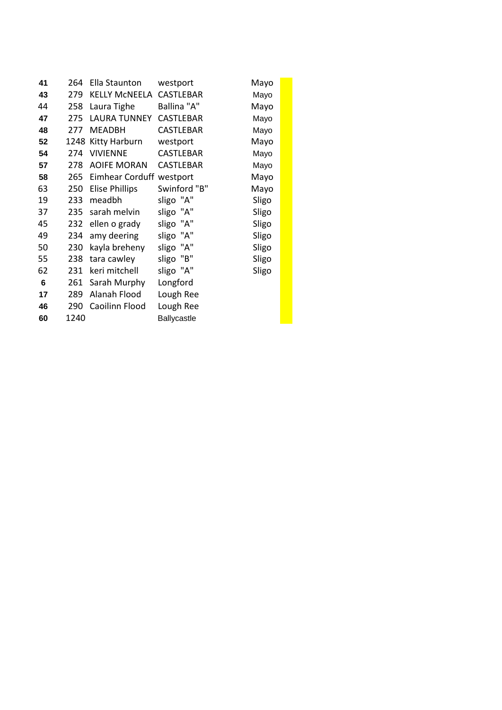| 41 | 264  | Ella Staunton                | westport         | Mayo  |
|----|------|------------------------------|------------------|-------|
| 43 | 279  | <b>KELLY MCNEELA</b>         | <b>CASTLEBAR</b> | Mayo  |
| 44 |      | 258 Laura Tighe              | Ballina "A"      | Mayo  |
| 47 | 275  | LAURA TUNNEY                 | <b>CASTLEBAR</b> | Mayo  |
| 48 | 277  | <b>MEADBH</b>                | <b>CASTLEBAR</b> | Mayo  |
| 52 |      | 1248 Kitty Harburn           | westport         | Mayo  |
| 54 | 274  | <b>VIVIENNE</b>              | CASTLEBAR        | Mayo  |
| 57 | 278  | <b>AOIFE MORAN</b>           | CASTLEBAR        | Mayo  |
| 58 |      | 265 Eimhear Corduff westport |                  | Mayo  |
| 63 | 250  | Elise Phillips               | Swinford "B"     | Mayo  |
| 19 | 233  | meadbh                       | sligo "A"        | Sligo |
| 37 |      | 235 sarah melvin             | sligo "A"        | Sligo |
| 45 |      | 232 ellen o grady            | sligo "A"        | Sligo |
| 49 | 234  | amy deering                  | sligo "A"        | Sligo |
| 50 | 230  | kayla breheny                | sligo "A"        | Sligo |
| 55 | 238  | tara cawley                  | sligo "B"        | Sligo |
| 62 | 231  | keri mitchell                | sligo "A"        | Sligo |
| 6  | 261  | Sarah Murphy                 | Longford         |       |
| 17 | 289  | Alanah Flood                 | Lough Ree        |       |
| 46 | 290  | Caoilinn Flood               | Lough Ree        |       |
| 60 | 1240 |                              | Ballycastle      |       |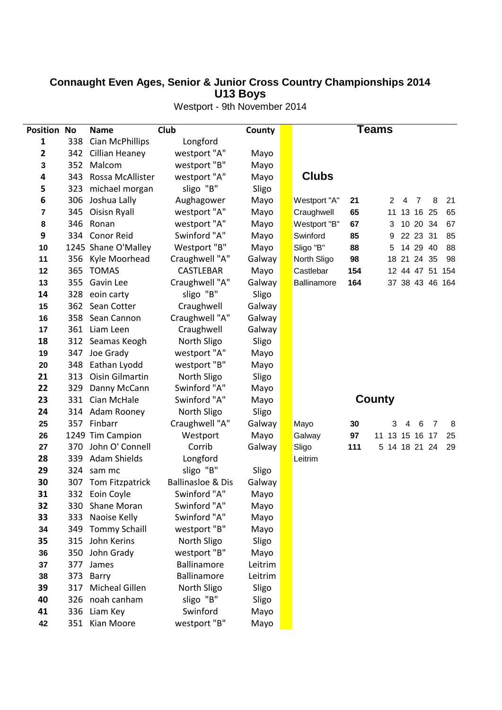#### **Connaught Even Ages, Senior & Junior Cross Country Championships 2014 U13 Boys**

| <b>Position No</b> |     | <b>Name</b>            | Club                         | County  |              |     | Teams          |             |          |    |                 |
|--------------------|-----|------------------------|------------------------------|---------|--------------|-----|----------------|-------------|----------|----|-----------------|
| 1                  | 338 | Cian McPhillips        | Longford                     |         |              |     |                |             |          |    |                 |
| $\mathbf{2}$       | 342 | <b>Cillian Heaney</b>  | westport "A"                 | Mayo    |              |     |                |             |          |    |                 |
| 3                  | 352 | Malcom                 | westport "B"                 | Mayo    |              |     |                |             |          |    |                 |
| 4                  | 343 | Rossa McAllister       | westport "A"                 | Mayo    | <b>Clubs</b> |     |                |             |          |    |                 |
| 5                  | 323 | michael morgan         | sligo "B"                    | Sligo   |              |     |                |             |          |    |                 |
| 6                  | 306 | Joshua Lally           | Aughagower                   | Mayo    | Westport "A" | 21  | 2              | 4           | 7        | 8  | 21              |
| 7                  | 345 | <b>Oisisn Ryall</b>    | westport "A"                 | Mayo    | Craughwell   | 65  | 11             |             | 13 16    | 25 | 65              |
| 8                  | 346 | Ronan                  | westport "A"                 | Mayo    | Westport "B" | 67  | 3              |             | 10 20 34 |    | 67              |
| 9                  | 334 | Conor Reid             | Swinford "A"                 | Mayo    | Swinford     | 85  | 9              |             | 22 23 31 |    | 85              |
| 10                 |     | 1245 Shane O'Malley    | Westport "B"                 | Mayo    | Sligo "B"    | 88  | 5              |             | 14 29 40 |    | 88              |
| 11                 | 356 | Kyle Moorhead          | Craughwell "A"               | Galway  | North Sligo  | 98  | 18             |             | 21 24 35 |    | 98              |
| 12                 | 365 | <b>TOMAS</b>           | <b>CASTLEBAR</b>             | Mayo    | Castlebar    | 154 |                | 12 44 47 51 |          |    | 154             |
| 13                 | 355 | Gavin Lee              | Craughwell "A"               | Galway  | Ballinamore  | 164 |                |             |          |    | 37 38 43 46 164 |
| 14                 | 328 | eoin carty             | sligo "B"                    | Sligo   |              |     |                |             |          |    |                 |
| 15                 | 362 | Sean Cotter            | Craughwell                   | Galway  |              |     |                |             |          |    |                 |
| 16                 | 358 | Sean Cannon            | Craughwell "A"               | Galway  |              |     |                |             |          |    |                 |
| 17                 | 361 | Liam Leen              | Craughwell                   | Galway  |              |     |                |             |          |    |                 |
| 18                 | 312 | Seamas Keogh           | North Sligo                  | Sligo   |              |     |                |             |          |    |                 |
| 19                 | 347 | Joe Grady              | westport "A"                 | Mayo    |              |     |                |             |          |    |                 |
| 20                 | 348 | Eathan Lyodd           | westport "B"                 | Mayo    |              |     |                |             |          |    |                 |
| 21                 | 313 | <b>Oisin Gilmartin</b> | North Sligo                  | Sligo   |              |     |                |             |          |    |                 |
| 22                 | 329 | Danny McCann           | Swinford "A"                 | Mayo    |              |     |                |             |          |    |                 |
| 23                 | 331 | Cian McHale            | Swinford "A"                 | Mayo    |              |     | County         |             |          |    |                 |
| 24                 | 314 | Adam Rooney            | North Sligo                  | Sligo   |              |     |                |             |          |    |                 |
| 25                 | 357 | Finbarr                | Craughwell "A"               | Galway  | Mayo         | 30  | 3              | 4           | 6        | 7  | 8               |
| 26                 |     | 1249 Tim Campion       | Westport                     | Mayo    | Galway       | 97  | 11 13 15 16 17 |             |          |    | 25              |
| 27                 | 370 | John O' Connell        | Corrib                       | Galway  | Sligo        | 111 | 5 14 18 21 24  |             |          |    | 29              |
| 28                 | 339 | <b>Adam Shields</b>    | Longford                     |         | Leitrim      |     |                |             |          |    |                 |
| 29                 | 324 | sam mc                 | sligo "B"                    | Sligo   |              |     |                |             |          |    |                 |
| 30                 | 307 | Tom Fitzpatrick        | <b>Ballinasloe &amp; Dis</b> | Galway  |              |     |                |             |          |    |                 |
| 31                 | 332 | Eoin Coyle             | Swinford "A"                 | Mayo    |              |     |                |             |          |    |                 |
| 32                 | 330 | Shane Moran            | Swinford "A"                 | Mayo    |              |     |                |             |          |    |                 |
| 33                 | 333 | Naoise Kelly           | Swinford "A"                 | Mayo    |              |     |                |             |          |    |                 |
| 34                 | 349 | <b>Tommy Schaill</b>   | westport "B"                 | Mayo    |              |     |                |             |          |    |                 |
| 35                 | 315 | John Kerins            | North Sligo                  | Sligo   |              |     |                |             |          |    |                 |
| 36                 | 350 | John Grady             | westport "B"                 | Mayo    |              |     |                |             |          |    |                 |
| 37                 | 377 | James                  | Ballinamore                  | Leitrim |              |     |                |             |          |    |                 |
| 38                 | 373 | Barry                  | Ballinamore                  | Leitrim |              |     |                |             |          |    |                 |
| 39                 | 317 | Micheal Gillen         | North Sligo                  | Sligo   |              |     |                |             |          |    |                 |
| 40                 | 326 | noah canham            | sligo "B"                    | Sligo   |              |     |                |             |          |    |                 |
| 41                 | 336 | Liam Key               | Swinford                     | Mayo    |              |     |                |             |          |    |                 |
| 42                 | 351 | Kian Moore             | westport "B"                 | Mayo    |              |     |                |             |          |    |                 |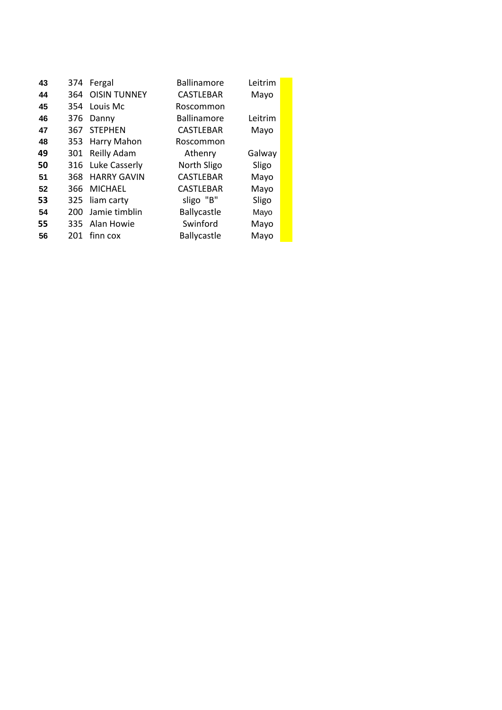| 43 | 374 | Fergal              | Ballinamore      | Leitrim |  |
|----|-----|---------------------|------------------|---------|--|
| 44 | 364 | <b>OISIN TUNNEY</b> | CASTLEBAR        | Mayo    |  |
| 45 | 354 | Louis Mc            | Roscommon        |         |  |
| 46 | 376 | Danny               | Ballinamore      | Leitrim |  |
| 47 | 367 | <b>STEPHEN</b>      | CASTLEBAR        | Mayo    |  |
| 48 | 353 | Harry Mahon         | Roscommon        |         |  |
| 49 | 301 | Reilly Adam         | Athenry          | Galway  |  |
| 50 |     | 316 Luke Casserly   | North Sligo      | Sligo   |  |
| 51 | 368 | <b>HARRY GAVIN</b>  | <b>CASTLEBAR</b> | Mayo    |  |
| 52 | 366 | <b>MICHAEL</b>      | <b>CASTLEBAR</b> | Mayo    |  |
| 53 |     | 325 liam carty      | sligo "B"        | Sligo   |  |
| 54 | 200 | Jamie timblin       | Ballycastle      | Mayo    |  |
| 55 | 335 | Alan Howie          | Swinford         | Mayo    |  |
| 56 | 201 | finn cox            | Ballycastle      | Mayo    |  |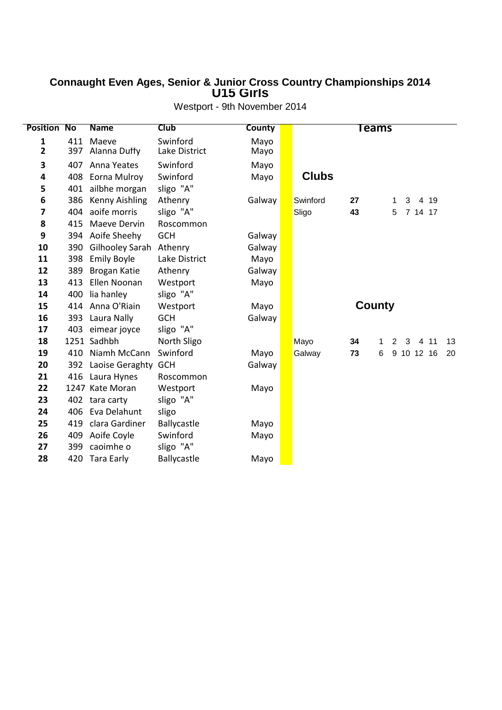# **Connaught Even Ages, Senior & Junior Cross Country Championships 2014 U15 Girls**

| Position No                             |            | <b>Name</b>           | <b>Club</b>               | <b>County</b> |              |        | <b>Teams</b> |   |   |            |      |    |
|-----------------------------------------|------------|-----------------------|---------------------------|---------------|--------------|--------|--------------|---|---|------------|------|----|
| $\mathbf{1}$<br>$\overline{\mathbf{2}}$ | 411<br>397 | Maeve<br>Alanna Duffy | Swinford<br>Lake District | Mayo<br>Mayo  |              |        |              |   |   |            |      |    |
| 3                                       | 407        | Anna Yeates           | Swinford                  | Mayo          |              |        |              |   |   |            |      |    |
| 4                                       | 408        | Eorna Mulroy          | Swinford                  | Mayo          | <b>Clubs</b> |        |              |   |   |            |      |    |
| 5                                       | 401        | ailbhe morgan         | sligo "A"                 |               |              |        |              |   |   |            |      |    |
| 6                                       | 386        | <b>Kenny Aishling</b> | Athenry                   | Galway        | Swinford     | 27     |              |   | 3 |            | 4 19 |    |
| $\overline{\mathbf{z}}$                 | 404        | aoife morris          | sligo "A"                 |               | Sligo        | 43     |              | 5 |   | 7 14 17    |      |    |
| 8                                       | 415        | Maeve Dervin          | Roscommon                 |               |              |        |              |   |   |            |      |    |
| 9                                       |            | 394 Aoife Sheehy      | <b>GCH</b>                | Galway        |              |        |              |   |   |            |      |    |
| 10                                      | 390        | Gilhooley Sarah       | Athenry                   | Galway        |              |        |              |   |   |            |      |    |
| 11                                      | 398        | <b>Emily Boyle</b>    | Lake District             | Mayo          |              |        |              |   |   |            |      |    |
| 12                                      | 389        | Brogan Katie          | Athenry                   | Galway        |              |        |              |   |   |            |      |    |
| 13                                      | 413        | Ellen Noonan          | Westport                  | Mayo          |              |        |              |   |   |            |      |    |
| 14                                      | 400        | lia hanley            | sligo "A"                 |               |              |        |              |   |   |            |      |    |
| 15                                      | 414        | Anna O'Riain          | Westport                  | Mayo          |              | County |              |   |   |            |      |    |
| 16                                      | 393        | Laura Nally           | <b>GCH</b>                | Galway        |              |        |              |   |   |            |      |    |
| 17                                      | 403        | eimear joyce          | sligo "A"                 |               |              |        |              |   |   |            |      |    |
| 18                                      |            | 1251 Sadhbh           | North Sligo               |               | Mayo         | 34     | 1            | 2 | 3 |            | 4 11 | 13 |
| 19                                      | 410        | Niamh McCann          | Swinford                  | Mayo          | Galway       | 73     | 6            |   |   | 9 10 12 16 |      | 20 |
| 20                                      | 392        | Laoise Geraghty       | <b>GCH</b>                | Galway        |              |        |              |   |   |            |      |    |
| 21                                      |            | 416 Laura Hynes       | Roscommon                 |               |              |        |              |   |   |            |      |    |
| 22                                      |            | 1247 Kate Moran       | Westport                  | Mayo          |              |        |              |   |   |            |      |    |
| 23                                      |            | 402 tara carty        | sligo "A"                 |               |              |        |              |   |   |            |      |    |
| 24                                      |            | 406 Eva Delahunt      | sligo                     |               |              |        |              |   |   |            |      |    |
| 25                                      | 419        | clara Gardiner        | Ballycastle               | Mayo          |              |        |              |   |   |            |      |    |
| 26                                      | 409        | Aoife Coyle           | Swinford                  | Mayo          |              |        |              |   |   |            |      |    |
| 27                                      | 399        | caoimhe o             | sligo "A"                 |               |              |        |              |   |   |            |      |    |
| 28                                      |            | 420 Tara Early        | Ballycastle               | Mayo          |              |        |              |   |   |            |      |    |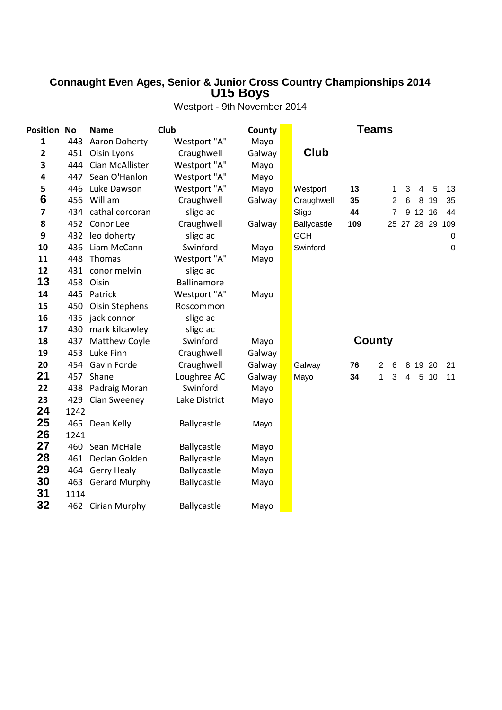# **Connaught Even Ages, Senior & Junior Cross Country Championships 2014 U15 Boys**

| Position     | <b>No</b> | <b>Name</b>           | Club          | County |             |     | Teams         |                |   |             |      |             |
|--------------|-----------|-----------------------|---------------|--------|-------------|-----|---------------|----------------|---|-------------|------|-------------|
| $\mathbf{1}$ | 443       | Aaron Doherty         | Westport "A"  | Mayo   |             |     |               |                |   |             |      |             |
| $\mathbf{2}$ | 451       | Oisin Lyons           | Craughwell    | Galway | <b>Club</b> |     |               |                |   |             |      |             |
| 3            | 444       | Cian McAllister       | Westport "A"  | Mayo   |             |     |               |                |   |             |      |             |
| 4            | 447       | Sean O'Hanlon         | Westport "A"  | Mayo   |             |     |               |                |   |             |      |             |
| 5            | 446       | Luke Dawson           | Westport "A"  | Mayo   | Westport    | 13  |               | 1              | 3 | 4           | 5    | 13          |
| 6            | 456       | William               | Craughwell    | Galway | Craughwell  | 35  |               | $\overline{2}$ | 6 | 8           | 19   | 35          |
| 7            | 434       | cathal corcoran       | sligo ac      |        | Sligo       | 44  |               | $\overline{7}$ |   | 9 12 16     |      | 44          |
| 8            | 452       | Conor Lee             | Craughwell    | Galway | Ballycastle | 109 |               |                |   | 25 27 28 29 |      | 109         |
| 9            | 432       | leo doherty           | sligo ac      |        | <b>GCH</b>  |     |               |                |   |             |      | $\pmb{0}$   |
| 10           | 436       | Liam McCann           | Swinford      | Mayo   | Swinford    |     |               |                |   |             |      | $\mathbf 0$ |
| 11           | 448       | Thomas                | Westport "A"  | Mayo   |             |     |               |                |   |             |      |             |
| 12           | 431       | conor melvin          | sligo ac      |        |             |     |               |                |   |             |      |             |
| 13           | 458       | Oisin                 | Ballinamore   |        |             |     |               |                |   |             |      |             |
| 14           | 445       | Patrick               | Westport "A"  | Mayo   |             |     |               |                |   |             |      |             |
| 15           | 450       | <b>Oisin Stephens</b> | Roscommon     |        |             |     |               |                |   |             |      |             |
| 16           | 435       | jack connor           | sligo ac      |        |             |     |               |                |   |             |      |             |
| 17           | 430       | mark kilcawley        | sligo ac      |        |             |     |               |                |   |             |      |             |
| 18           | 437       | Matthew Coyle         | Swinford      | Mayo   |             |     | <b>County</b> |                |   |             |      |             |
| 19           | 453       | Luke Finn             | Craughwell    | Galway |             |     |               |                |   |             |      |             |
| 20           | 454       | Gavin Forde           | Craughwell    | Galway | Galway      | 76  | 2             | 6              |   | 8 19 20     |      | 21          |
| 21           | 457       | Shane                 | Loughrea AC   | Galway | Mayo        | 34  | 1             | 3              | 4 |             | 5 10 | 11          |
| 22           | 438       | Padraig Moran         | Swinford      | Mayo   |             |     |               |                |   |             |      |             |
| 23           | 429       | <b>Cian Sweeney</b>   | Lake District | Mayo   |             |     |               |                |   |             |      |             |
| 24           | 1242      |                       |               |        |             |     |               |                |   |             |      |             |
| 25           | 465       | Dean Kelly            | Ballycastle   | Mayo   |             |     |               |                |   |             |      |             |
| 26           | 1241      |                       |               |        |             |     |               |                |   |             |      |             |
| 27           | 460       | Sean McHale           | Ballycastle   | Mayo   |             |     |               |                |   |             |      |             |
| 28           | 461       | Declan Golden         | Ballycastle   | Mayo   |             |     |               |                |   |             |      |             |
| 29           | 464       | <b>Gerry Healy</b>    | Ballycastle   | Mayo   |             |     |               |                |   |             |      |             |
| 30           | 463       | <b>Gerard Murphy</b>  | Ballycastle   | Mayo   |             |     |               |                |   |             |      |             |
| 31           | 1114      |                       |               |        |             |     |               |                |   |             |      |             |
| 32           |           | 462 Cirian Murphy     | Ballycastle   | Mayo   |             |     |               |                |   |             |      |             |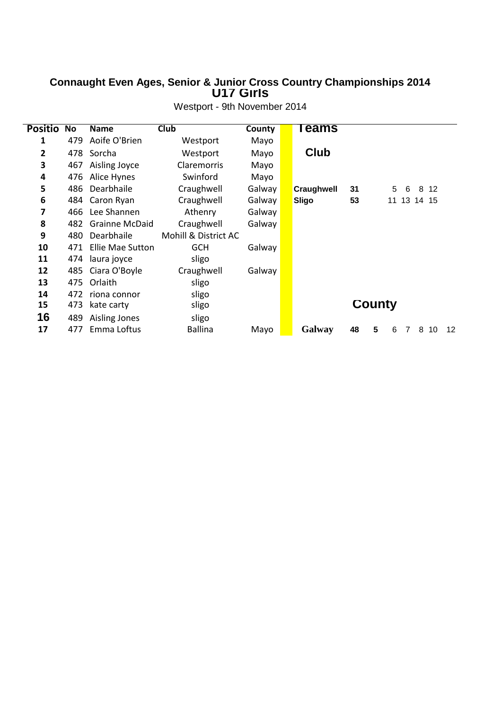# **Connaught Even Ages, Senior & Junior Cross Country Championships 2014 U17 Girls**

| Positio | No  | <b>Name</b>           | <b>Club</b>          | County | <b>leams</b>      |    |               |    |   |          |    |    |
|---------|-----|-----------------------|----------------------|--------|-------------------|----|---------------|----|---|----------|----|----|
| 1       | 479 | Aoife O'Brien         | Westport             | Mayo   |                   |    |               |    |   |          |    |    |
| 2       | 478 | Sorcha                | Westport             | Mayo   | <b>Club</b>       |    |               |    |   |          |    |    |
| 3       | 467 | Aisling Joyce         | Claremorris          | Mayo   |                   |    |               |    |   |          |    |    |
| 4       | 476 | Alice Hynes           | Swinford             | Mayo   |                   |    |               |    |   |          |    |    |
| 5       | 486 | Dearbhaile            | Craughwell           | Galway | <b>Craughwell</b> | 31 |               | 5  | 6 | 8        | 12 |    |
| 6       |     | 484 Caron Ryan        | Craughwell           | Galway | Sligo             | 53 |               | 11 |   | 13 14 15 |    |    |
| 7       | 466 | Lee Shannen           | Athenry              | Galway |                   |    |               |    |   |          |    |    |
| 8       | 482 | <b>Grainne McDaid</b> | Craughwell           | Galway |                   |    |               |    |   |          |    |    |
| 9       | 480 | Dearbhaile            | Mohill & District AC |        |                   |    |               |    |   |          |    |    |
| 10      | 471 | Ellie Mae Sutton      | <b>GCH</b>           | Galway |                   |    |               |    |   |          |    |    |
| 11      | 474 | laura joyce           | sligo                |        |                   |    |               |    |   |          |    |    |
| 12      | 485 | Ciara O'Boyle         | Craughwell           | Galway |                   |    |               |    |   |          |    |    |
| 13      | 475 | Orlaith               | sligo                |        |                   |    |               |    |   |          |    |    |
| 14      | 472 | riona connor          | sligo                |        |                   |    |               |    |   |          |    |    |
| 15      | 473 | kate carty            | sligo                |        |                   |    | <b>County</b> |    |   |          |    |    |
| 16      | 489 | <b>Aisling Jones</b>  | sligo                |        |                   |    |               |    |   |          |    |    |
| 17      | 477 | Emma Loftus           | <b>Ballina</b>       | Mayo   | Galway            | 48 | 5             | 6  | 7 | 8        | 10 | 12 |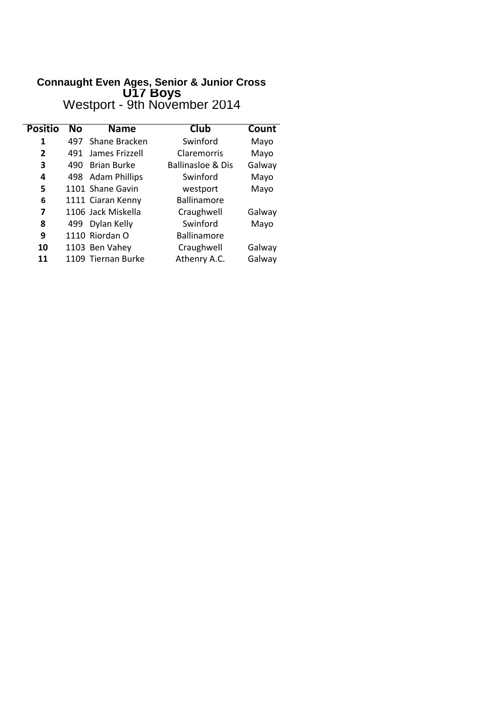#### **Connaught Even Ages, Senior & Junior Cross U17 Boys** Westport - 9th November 2014

| <b>Positio</b> | <b>No</b> | <b>Name</b>        | <b>Club</b>                  | Count  |
|----------------|-----------|--------------------|------------------------------|--------|
| 1              | 497       | Shane Bracken      | Swinford                     | Mayo   |
| $\overline{2}$ | 491       | James Frizzell     | Claremorris                  | Mayo   |
| 3              | 490       | <b>Brian Burke</b> | <b>Ballinasloe &amp; Dis</b> | Galway |
| 4              |           | 498 Adam Phillips  | Swinford                     | Mayo   |
| 5              |           | 1101 Shane Gavin   | westport                     | Mayo   |
| 6              |           | 1111 Ciaran Kenny  | <b>Ballinamore</b>           |        |
| 7              |           | 1106 Jack Miskella | Craughwell                   | Galway |
| 8              |           | 499 Dylan Kelly    | Swinford                     | Mayo   |
| 9              |           | 1110 Riordan O     | Ballinamore                  |        |
| 10             |           | 1103 Ben Vahey     | Craughwell                   | Galway |
| 11             |           | 1109 Tiernan Burke | Athenry A.C.                 | Galway |